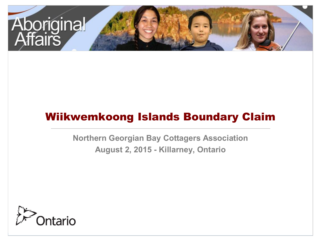

# Wiikwemkoong Islands Boundary Claim

**Northern Georgian Bay Cottagers Association August 2, 2015 - Killarney, Ontario**

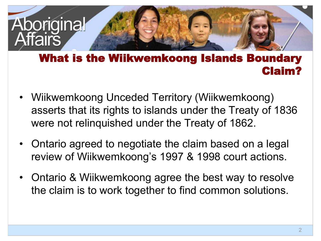

### What is the Wiikwemkoong Islands Boundary Claim?

- Wiikwemkoong Unceded Territory (Wiikwemkoong) asserts that its rights to islands under the Treaty of 1836 were not relinquished under the Treaty of 1862.
- Ontario agreed to negotiate the claim based on a legal review of Wiikwemkoong's 1997 & 1998 court actions.
- Ontario & Wiikwemkoong agree the best way to resolve the claim is to work together to find common solutions.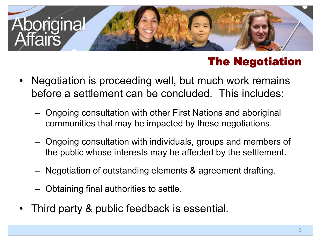

# The Negotiation

- Negotiation is proceeding well, but much work remains before a settlement can be concluded. This includes:
	- Ongoing consultation with other First Nations and aboriginal communities that may be impacted by these negotiations.
	- Ongoing consultation with individuals, groups and members of the public whose interests may be affected by the settlement.
	- Negotiation of outstanding elements & agreement drafting.
	- Obtaining final authorities to settle.
- Third party & public feedback is essential.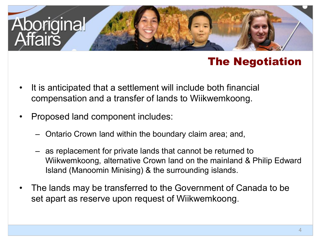![](_page_3_Picture_0.jpeg)

### The Negotiation

- It is anticipated that a settlement will include both financial compensation and a transfer of lands to Wiikwemkoong.
- Proposed land component includes:
	- Ontario Crown land within the boundary claim area; and,
	- as replacement for private lands that cannot be returned to Wiikwemkoong, alternative Crown land on the mainland & Philip Edward Island (Manoomin Minising) & the surrounding islands.
- The lands may be transferred to the Government of Canada to be set apart as reserve upon request of Wiikwemkoong.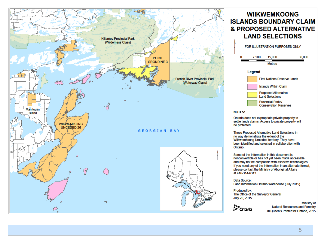![](_page_4_Figure_0.jpeg)

### **WIIKWEMKOONG ISLANDS BOUNDARY CLAIM** & PROPOSED ALTERNATIVE **LAND SELECTIONS**

![](_page_4_Figure_2.jpeg)

Ontario does not expropriate private property to settle lands claims. Access to private property will be protected.

These Proposed Alternative Land Selections in no way demonstrate the extent of the Wiikwemkoong Unceded territory. They have been identified and selected in collaboration with

Some of the information in this document is nonconvertible or has not yet been made accessible and may not be compatible with assistive technologies. If you need any of the information in an alternate format, please contact the Ministry of Aboriginal Affairs at 416-314-6313.

Data Source: Land Information Ontario Warehouse (July 2015)

Produced by: The Office of the Surveyor General July 20, 2015

> Ministry of **Natural Resources and Forestry** © Queen's Printer for Ontario, 2015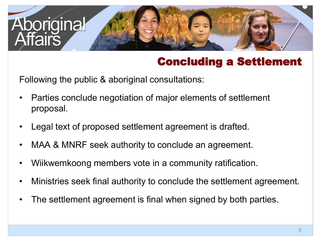![](_page_5_Picture_0.jpeg)

# Concluding a Settlement

Following the public & aboriginal consultations:

- Parties conclude negotiation of major elements of settlement proposal.
- Legal text of proposed settlement agreement is drafted.
- MAA & MNRF seek authority to conclude an agreement.
- Wiikwemkoong members vote in a community ratification.
- Ministries seek final authority to conclude the settlement agreement.
- The settlement agreement is final when signed by both parties.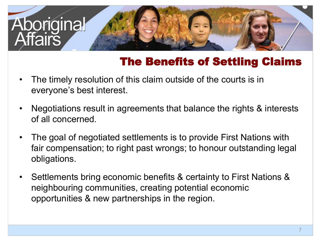![](_page_6_Picture_0.jpeg)

# The Benefits of Settling Claims

- $\bullet$ The timely resolution of this claim outside of the courts is in everyone's best interest.
- Negotiations result in agreements that balance the rights & interests of all concerned.
- $\bullet$ The goal of negotiated settlements is to provide First Nations with fair compensation; to right past wrongs; to honour outstanding legal obligations.
- $\bullet$ Settlements bring economic benefits & certainty to First Nations & neighbouring communities, creating potential economic opportunities & new partnerships in the region.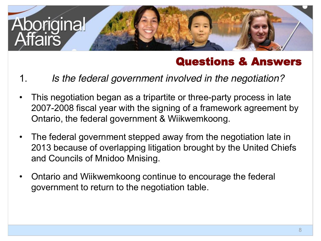![](_page_7_Picture_0.jpeg)

### Questions & Answers

- 1. *Is the federal government involved in the negotiation?*
- This negotiation began as a tripartite or three-party process in late 2007-2008 fiscal year with the signing of a framework agreement by Ontario, the federal government & Wiikwemkoong.
- $\bullet$ The federal government stepped away from the negotiation late in 2013 because of overlapping litigation brought by the United Chiefs and Councils of Mnidoo Mnising.
- Ontario and Wiikwemkoong continue to encourage the federal government to return to the negotiation table.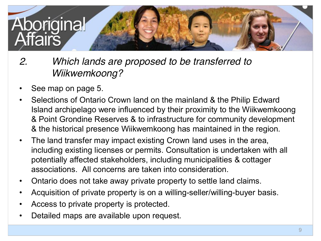![](_page_8_Picture_0.jpeg)

- *2. Which lands are proposed to be transferred to Wiikwemkoong?*
- See map on page 5.
- Selections of Ontario Crown land on the mainland & the Philip Edward Island archipelago were influenced by their proximity to the Wiikwemkoong & Point Grondine Reserves & to infrastructure for community development & the historical presence Wiikwemkoong has maintained in the region.
- $\bullet$ The land transfer may impact existing Crown land uses in the area, including existing licenses or permits. Consultation is undertaken with all potentially affected stakeholders, including municipalities & cottager associations. All concerns are taken into consideration.
- Ontario does not take away private property to settle land claims.
- Acquisition of private property is on a willing-seller/willing-buyer basis.
- Access to private property is protected.
- Detailed maps are available upon request.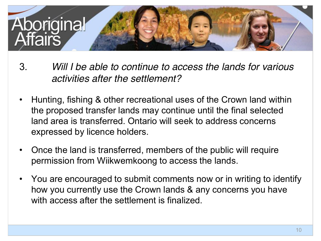![](_page_9_Picture_0.jpeg)

- 3. *Will I be able to continue to access the lands for various activities after the settlement?*
- Hunting, fishing & other recreational uses of the Crown land within the proposed transfer lands may continue until the final selected land area is transferred. Ontario will seek to address concerns expressed by licence holders.
- Once the land is transferred, members of the public will require permission from Wiikwemkoong to access the lands.
- You are encouraged to submit comments now or in writing to identify how you currently use the Crown lands & any concerns you have with access after the settlement is finalized.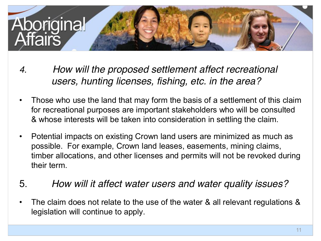![](_page_10_Picture_0.jpeg)

- *4. How will the proposed settlement affect recreational users, hunting licenses, fishing, etc. in the area?*
- $\bullet$ Those who use the land that may form the basis of a settlement of this claim for recreational purposes are important stakeholders who will be consulted & whose interests will be taken into consideration in settling the claim.
- $\bullet$ Potential impacts on existing Crown land users are minimized as much as possible. For example, Crown land leases, easements, mining claims, timber allocations, and other licenses and permits will not be revoked during their term.
- 5. *How will it affect water users and water quality issues?*
- The claim does not relate to the use of the water & all relevant regulations & legislation will continue to apply.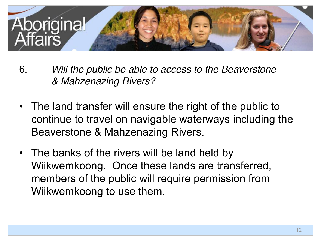![](_page_11_Picture_0.jpeg)

- 6. *Will the public be able to access to the Beaverstone & Mahzenazing Rivers?*
- The land transfer will ensure the right of the public to continue to travel on navigable waterways including the Beaverstone & Mahzenazing Rivers.
- The banks of the rivers will be land held by Wiikwemkoong. Once these lands are transferred, members of the public will require permission from Wiikwemkoong to use them.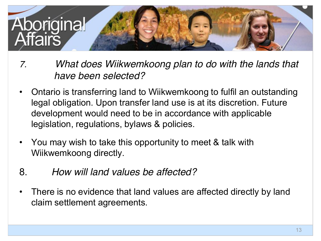![](_page_12_Picture_0.jpeg)

- *7. What does Wiikwemkoong plan to do with the lands that have been selected?*
- $\bullet$ Ontario is transferring land to Wiikwemkoong to fulfil an outstanding legal obligation. Upon transfer land use is at its discretion. Future development would need to be in accordance with applicable legislation, regulations, bylaws & policies.
- You may wish to take this opportunity to meet & talk with Wiikwemkoong directly.
- 8. *How will land values be affected?*
- There is no evidence that land values are affected directly by land claim settlement agreements.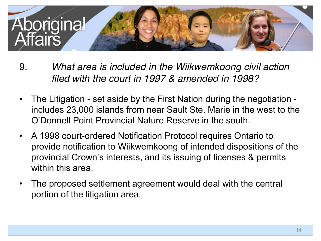![](_page_13_Picture_0.jpeg)

- 9. *What area is included in the Wiikwemkoong civil action filed with the court in 1997 & amended in 1998?*
- $\bullet$ The Litigation - set aside by the First Nation during the negotiation includes 23,000 islands from near Sault Ste. Marie in the west to the O'Donnell Point Provincial Nature Reserve in the south.
- A 1998 court-ordered Notification Protocol requires Ontario to provide notification to Wiikwemkoong of intended dispositions of the provincial Crown's interests, and its issuing of licenses & permits within this area.
- The proposed settlement agreement would deal with the central portion of the litigation area.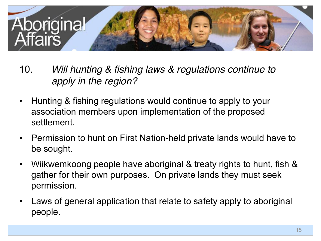![](_page_14_Picture_0.jpeg)

- 10. *Will hunting & fishing laws & regulations continue to apply in the region?*
- $\bullet$ Hunting & fishing regulations would continue to apply to your association members upon implementation of the proposed settlement.
- Permission to hunt on First Nation-held private lands would have to be sought.
- $\bullet$ Wiikwemkoong people have aboriginal & treaty rights to hunt, fish & gather for their own purposes. On private lands they must seek permission.
- Laws of general application that relate to safety apply to aboriginal people.